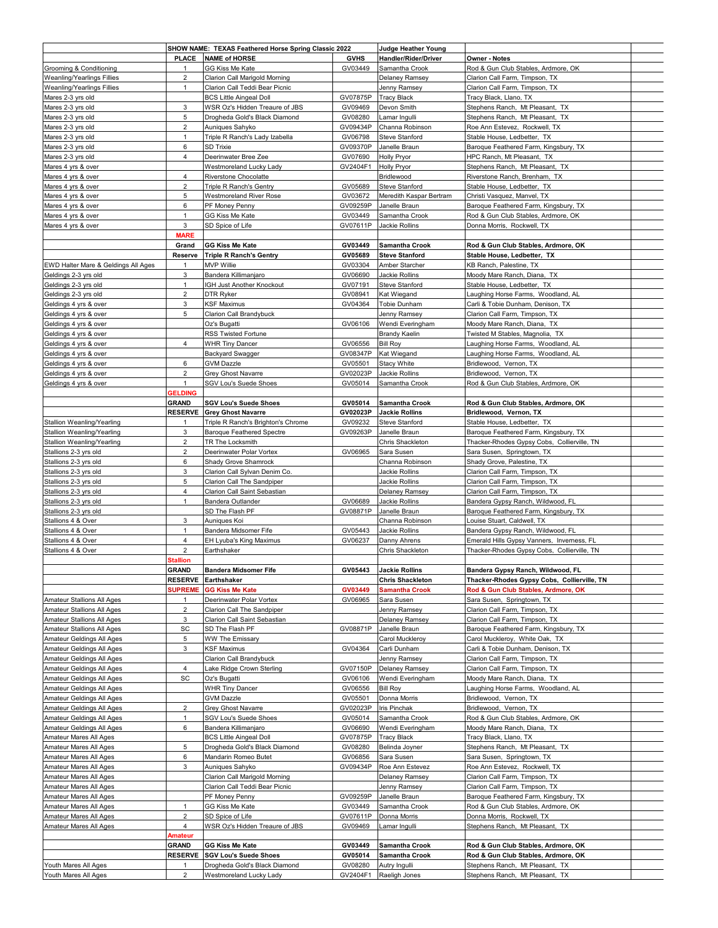|                                              | SHOW NAME: TEXAS Feathered Horse Spring Classic 2022 |                                                          |                     | Judge Heather Young            |                                                                    |  |
|----------------------------------------------|------------------------------------------------------|----------------------------------------------------------|---------------------|--------------------------------|--------------------------------------------------------------------|--|
|                                              | <b>PLACE</b>                                         | <b>NAME of HORSE</b>                                     | <b>GVHS</b>         | Handler/Rider/Driver           | Owner - Notes                                                      |  |
| Grooming & Conditioning                      | 1                                                    | GG Kiss Me Kate                                          | GV03449             | Samantha Crook                 | Rod & Gun Club Stables, Ardmore, OK                                |  |
| Weanling/Yearlings Fillies                   | $\overline{c}$                                       | Clarion Call Marigold Morning                            |                     | Delaney Ramsey                 | Clarion Call Farm, Timpson, TX                                     |  |
|                                              |                                                      |                                                          |                     |                                |                                                                    |  |
| Weanling/Yearlings Fillies                   | $\mathbf{1}$                                         | Clarion Call Teddi Bear Picnic                           |                     | Jenny Ramsey                   | Clarion Call Farm, Timpson, TX                                     |  |
| Mares 2-3 yrs old                            |                                                      | <b>BCS Little Aingeal Doll</b>                           | GV07875P            | <b>Tracy Black</b>             | Tracy Black, Llano, TX                                             |  |
| Mares 2-3 yrs old                            | 3                                                    | WSR Oz's Hidden Treaure of JBS                           | GV09469             | Devon Smith                    | Stephens Ranch, Mt Pleasant, TX                                    |  |
| Mares 2-3 yrs old                            | 5                                                    | Drogheda Gold's Black Diamond                            | GV08280             | Lamar Ingulli                  | Stephens Ranch, Mt Pleasant, TX                                    |  |
| Mares 2-3 yrs old                            | $\overline{2}$                                       | Auniques Sahyko                                          | GV09434P            | Channa Robinson                | Roe Ann Estevez, Rockwell, TX                                      |  |
| Mares 2-3 yrs old                            | $\mathbf{1}$                                         | Triple R Ranch's Lady Izabella                           | GV06798             | Steve Stanford                 | Stable House, Ledbetter, TX                                        |  |
| Mares 2-3 yrs old                            | 6                                                    | <b>SD Trixie</b>                                         | GV09370P            | Janelle Braun                  | Baroque Feathered Farm, Kingsbury, TX                              |  |
| Mares 2-3 yrs old                            | $\overline{4}$                                       | Deerinwater Bree Zee                                     | GV07690             | Holly Pryor                    | HPC Ranch, Mt Pleasant, TX                                         |  |
| Mares 4 yrs & over                           |                                                      | Westmoreland Lucky Lady                                  | GV2404F1            | <b>Holly Pryor</b>             | Stephens Ranch, Mt Pleasant, TX                                    |  |
| Mares 4 yrs & over                           | 4                                                    | Riverstone Chocolatte                                    |                     | Bridlewood                     | Riverstone Ranch, Brenham, TX                                      |  |
| Mares 4 yrs & over                           | $\overline{2}$                                       | Triple R Ranch's Gentry                                  | GV05689             | <b>Steve Stanford</b>          | Stable House, Ledbetter, TX                                        |  |
| Mares 4 yrs & over                           | 5                                                    | Westmoreland River Rose                                  | GV03672             | Meredith Kaspar Bertram        | Christi Vasquez, Manvel, TX                                        |  |
|                                              |                                                      |                                                          |                     |                                |                                                                    |  |
| Mares 4 yrs & over                           | 6                                                    | PF Money Penny                                           | GV09259P            | Janelle Braun                  | Baroque Feathered Farm, Kingsbury, TX                              |  |
| Mares 4 yrs & over                           | $\mathbf{1}$                                         | GG Kiss Me Kate                                          | GV03449             | Samantha Crook                 | Rod & Gun Club Stables, Ardmore, OK                                |  |
| Mares 4 yrs & over                           | 3                                                    | SD Spice of Life                                         | GV07611P            | Jackie Rollins                 | Donna Morris, Rockwell, TX                                         |  |
|                                              | <b>MARE</b>                                          |                                                          |                     |                                |                                                                    |  |
|                                              | Grand                                                | GG Kiss Me Kate                                          | GV03449             | <b>Samantha Crook</b>          | Rod & Gun Club Stables, Ardmore, OK                                |  |
|                                              | Reserve                                              | <b>Triple R Ranch's Gentry</b>                           | GV05689             | <b>Steve Stanford</b>          | Stable House, Ledbetter, TX                                        |  |
| EWD Halter Mare & Geldings All Ages          | 1                                                    | <b>MVP Willie</b>                                        | GV03304             | Amber Starcher                 | KB Ranch, Palestine, TX                                            |  |
| Geldings 2-3 yrs old                         | 3                                                    | Bandera Killimanjaro                                     | GV06690             | Jackie Rollins                 | Moody Mare Ranch, Diana, TX                                        |  |
| Geldings 2-3 yrs old                         | $\mathbf{1}$                                         | IGH Just Another Knockout                                | GV07191             | Steve Stanford                 | Stable House, Ledbetter, TX                                        |  |
|                                              | $\overline{2}$                                       |                                                          |                     | Kat Wiegand                    | Laughing Horse Farms, Woodland, AL                                 |  |
| Geldings 2-3 yrs old                         |                                                      | DTR Ryker                                                | GV08941             |                                |                                                                    |  |
| Geldings 4 yrs & over                        | 3                                                    | KSF Maximus                                              | GV04364             | Tobie Dunham                   | Carli & Tobie Dunham, Denison, TX                                  |  |
| Geldings 4 yrs & over                        | 5                                                    | Clarion Call Brandybuck                                  |                     | Jenny Ramsey                   | Clarion Call Farm, Timpson, TX                                     |  |
| Geldings 4 yrs & over                        |                                                      | Oz's Bugatti                                             | GV06106             | Wendi Everingham               | Moody Mare Ranch, Diana, TX                                        |  |
| Geldings 4 yrs & over                        |                                                      | RSS Twisted Fortune                                      |                     | <b>Brandy Kaelin</b>           | Twisted M Stables, Magnolia, TX                                    |  |
| Geldings 4 yrs & over                        | $\overline{4}$                                       | <b>WHR Tiny Dancer</b>                                   | GV06556             | <b>Bill Roy</b>                | Laughing Horse Farms, Woodland, AL                                 |  |
| Geldings 4 yrs & over                        |                                                      | Backyard Swagger                                         | GV08347P            | Kat Wiegand                    | Laughing Horse Farms, Woodland, AL                                 |  |
| Geldings 4 yrs & over                        | 6                                                    | <b>GVM Dazzle</b>                                        | GV05501             | <b>Stacy White</b>             | Bridlewood, Vernon, TX                                             |  |
|                                              | $\overline{c}$                                       | Grey Ghost Navarre                                       | GV02023P            | Jackie Rollins                 | Bridlewood, Vernon, TX                                             |  |
| Geldings 4 yrs & over                        |                                                      |                                                          |                     |                                |                                                                    |  |
| Geldings 4 yrs & over                        | $\mathbf{1}$                                         | SGV Lou's Suede Shoes                                    | GV05014             | Samantha Crook                 | Rod & Gun Club Stables, Ardmore, OK                                |  |
|                                              | <b>GELDING</b>                                       |                                                          |                     |                                |                                                                    |  |
|                                              | <b>GRAND</b>                                         | <b>SGV Lou's Suede Shoes</b>                             | GV05014             | <b>Samantha Crook</b>          | Rod & Gun Club Stables, Ardmore, OK                                |  |
|                                              | <b>RESERVE</b>                                       | <b>Grey Ghost Navarre</b>                                | GV02023P            | <b>Jackie Rollins</b>          | Bridlewood, Vernon, TX                                             |  |
| Stallion Weanling/Yearling                   | 1                                                    | Triple R Ranch's Brighton's Chrome                       | GV09232             | <b>Steve Stanford</b>          | Stable House, Ledbetter, TX                                        |  |
| Stallion Weanling/Yearling                   | 3                                                    | <b>Baroque Feathered Spectre</b>                         | GV09263P            | Janelle Braun                  | Baroque Feathered Farm, Kingsbury, TX                              |  |
| <b>Stallion Weanling/Yearling</b>            | $\overline{2}$                                       | TR The Locksmith                                         |                     | Chris Shackleton               | Thacker-Rhodes Gypsy Cobs, Collierville, TN                        |  |
|                                              |                                                      |                                                          |                     |                                |                                                                    |  |
| Stallions 2-3 yrs old                        | $\overline{2}$                                       | Deerinwater Polar Vortex                                 | GV06965             | Sara Susen                     | Sara Susen, Springtown, TX                                         |  |
| Stallions 2-3 yrs old                        | 6                                                    | Shady Grove Shamrock                                     |                     | Channa Robinson                | Shady Grove, Palestine, TX                                         |  |
| Stallions 2-3 yrs old                        | 3                                                    | Clarion Call Sylvan Denim Co.                            |                     |                                |                                                                    |  |
|                                              |                                                      |                                                          |                     | Jackie Rollins                 | Clarion Call Farm, Timpson, TX                                     |  |
| Stallions 2-3 yrs old                        | 5                                                    | Clarion Call The Sandpiper                               |                     | Jackie Rollins                 | Clarion Call Farm, Timpson, TX                                     |  |
| Stallions 2-3 yrs old                        | $\overline{4}$                                       | Clarion Call Saint Sebastian                             |                     | Delaney Ramsey                 | Clarion Call Farm, Timpson, TX                                     |  |
|                                              |                                                      |                                                          |                     |                                |                                                                    |  |
| Stallions 2-3 yrs old                        | $\mathbf{1}$                                         | Bandera Outlander                                        | GV06689             | Jackie Rollins                 | Bandera Gypsy Ranch, Wildwood, FL                                  |  |
| Stallions 2-3 yrs old                        |                                                      | SD The Flash PF                                          | GV08871P            | Janelle Braun                  | Baroque Feathered Farm, Kingsbury, TX                              |  |
| Stallions 4 & Over                           | 3                                                    | Auniques Koi                                             |                     | Channa Robinson                | Louise Stuart, Caldwell, TX                                        |  |
| Stallions 4 & Over                           | $\mathbf{1}$                                         | Bandera Midsomer Fife                                    | GV05443             | Jackie Rollins                 | Bandera Gypsy Ranch, Wildwood, FL                                  |  |
| Stallions 4 & Over                           | 4                                                    | EH Lyuba's King Maximus                                  | GV06237             | Danny Ahrens                   | Emerald Hills Gypsy Vanners, Inverness, FL                         |  |
| Stallions 4 & Over                           | $\overline{2}$                                       | Earthshaker                                              |                     | Chris Shackleton               | Thacker-Rhodes Gypsy Cobs, Collierville, TN                        |  |
|                                              | <b>Stallion</b>                                      |                                                          |                     |                                |                                                                    |  |
|                                              | <b>GRAND</b>                                         | <b>Bandera Midsomer Fife</b>                             | GV05443             | <b>Jackie Rollins</b>          | Bandera Gypsy Ranch, Wildwood, FL                                  |  |
|                                              |                                                      |                                                          |                     |                                |                                                                    |  |
|                                              | <b>RESERVE</b>                                       | Earthshaker                                              |                     | <b>Chris Shackleton</b>        | Thacker-Rhodes Gypsy Cobs, Collierville, TN                        |  |
|                                              | <b>SUPREME</b>                                       | <b>GG Kiss Me Kate</b>                                   | GV03449             | <b>Samantha Crook</b>          | Rod & Gun Club Stables, Ardmore, OK                                |  |
| Amateur Stallions All Ages                   | 1                                                    | Deerinwater Polar Vortex                                 | GV06965             | Sara Susen                     | Sara Susen, Springtown, TX                                         |  |
| Amateur Stallions All Ages                   | $\overline{c}$                                       | Clarion Call The Sandpiper                               |                     | Jenny Ramsey                   | Clarion Call Farm, Timpson, TX                                     |  |
| <b>Amateur Stallions All Ages</b>            | 3                                                    | Clarion Call Saint Sebastian                             |                     | Delaney Ramsey                 | Clarion Call Farm, Timpson, TX                                     |  |
| Amateur Stallions All Ages                   | SC                                                   | SD The Flash PF                                          | GV08871P            | Janelle Braun                  | Baroque Feathered Farm, Kingsbury, TX                              |  |
| Amateur Geldings All Ages                    | 5                                                    | <b>WW The Emissary</b>                                   |                     | Carol Muckleroy                | Carol Muckleroy, White Oak, TX                                     |  |
| Amateur Geldings All Ages                    | 3                                                    | <b>KSF Maximus</b>                                       | GV04364             | Carli Dunham                   | Carli & Tobie Dunham, Denison, TX                                  |  |
| Amateur Geldings All Ages                    |                                                      | Clarion Call Brandybuck                                  |                     | Jenny Ramsey                   | Clarion Call Farm, Timpson, TX                                     |  |
| Amateur Geldings All Ages                    | 4                                                    | Lake Ridge Crown Sterling                                | GV07150P            | Delaney Ramsey                 | Clarion Call Farm, Timpson, TX                                     |  |
|                                              |                                                      |                                                          |                     |                                |                                                                    |  |
| Amateur Geldings All Ages                    | SC                                                   | Oz's Bugatti                                             | GV06106             | Wendi Everingham               | Moody Mare Ranch, Diana, TX                                        |  |
| Amateur Geldings All Ages                    |                                                      | <b>WHR Tiny Dancer</b>                                   | GV06556             | <b>Bill Roy</b>                | Laughing Horse Farms, Woodland, AL                                 |  |
| Amateur Geldings All Ages                    |                                                      | <b>GVM Dazzle</b>                                        | GV05501             | Donna Morris                   | Bridlewood, Vernon, TX                                             |  |
| Amateur Geldings All Ages                    | $\sqrt{2}$                                           | Grey Ghost Navarre                                       | GV02023P            | Iris Pinchak                   | Bridlewood, Vernon, TX                                             |  |
| Amateur Geldings All Ages                    | $\mathbf{1}$                                         | SGV Lou's Suede Shoes                                    | GV05014             | Samantha Crook                 | Rod & Gun Club Stables, Ardmore, OK                                |  |
| Amateur Geldings All Ages                    | 6                                                    | Bandera Killimanjaro                                     | GV06690             | Wendi Everingham               | Moody Mare Ranch, Diana, TX                                        |  |
| Amateur Mares All Ages                       |                                                      | <b>BCS Little Aingeal Doll</b>                           | GV07875P            | <b>Tracy Black</b>             | Tracy Black, Llano, TX                                             |  |
| Amateur Mares All Ages                       | 5                                                    | Drogheda Gold's Black Diamond                            | GV08280             | Belinda Joyner                 | Stephens Ranch, Mt Pleasant, TX                                    |  |
|                                              |                                                      |                                                          |                     |                                |                                                                    |  |
| Amateur Mares All Ages                       | 6                                                    | Mandarin Romeo Butet                                     | GV06856             | Sara Susen                     | Sara Susen, Springtown, TX                                         |  |
| Amateur Mares All Ages                       | 3                                                    | Auniques Sahyko                                          | GV09434P            | Roe Ann Estevez                | Roe Ann Estevez, Rockwell, TX                                      |  |
| Amateur Mares All Ages                       |                                                      | Clarion Call Marigold Morning                            |                     | Delaney Ramsey                 | Clarion Call Farm, Timpson, TX                                     |  |
| Amateur Mares All Ages                       |                                                      | Clarion Call Teddi Bear Picnic                           |                     | Jenny Ramsey                   | Clarion Call Farm, Timpson, TX                                     |  |
| Amateur Mares All Ages                       |                                                      | PF Money Penny                                           | GV09259P            | Janelle Braun                  | Baroque Feathered Farm, Kingsbury, TX                              |  |
| Amateur Mares All Ages                       | $\mathbf{1}$                                         | GG Kiss Me Kate                                          | GV03449             | Samantha Crook                 | Rod & Gun Club Stables, Ardmore, OK                                |  |
| Amateur Mares All Ages                       | $\sqrt{2}$                                           | SD Spice of Life                                         | GV07611P            | Donna Morris                   | Donna Morris, Rockwell, TX                                         |  |
|                                              |                                                      |                                                          |                     |                                |                                                                    |  |
| Amateur Mares All Ages                       | 4                                                    | WSR Oz's Hidden Treaure of JBS                           | GV09469             | amar Ingulli                   | Stephens Ranch, Mt Pleasant, TX                                    |  |
|                                              | <b>Amateur</b>                                       |                                                          |                     |                                |                                                                    |  |
|                                              | GRAND                                                | GG Kiss Me Kate                                          | GV03449             | Samantha Crook                 | Rod & Gun Club Stables, Ardmore, OK                                |  |
|                                              | <b>RESERVE</b>                                       | <b>SGV Lou's Suede Shoes</b>                             | GV05014             | Samantha Crook                 | Rod & Gun Club Stables, Ardmore, OK                                |  |
| Youth Mares All Ages<br>Youth Mares All Ages | 1<br>$\overline{2}$                                  | Drogheda Gold's Black Diamond<br>Westmoreland Lucky Lady | GV08280<br>GV2404F1 | Autry Ingulli<br>Raeligh Jones | Stephens Ranch, Mt Pleasant, TX<br>Stephens Ranch, Mt Pleasant, TX |  |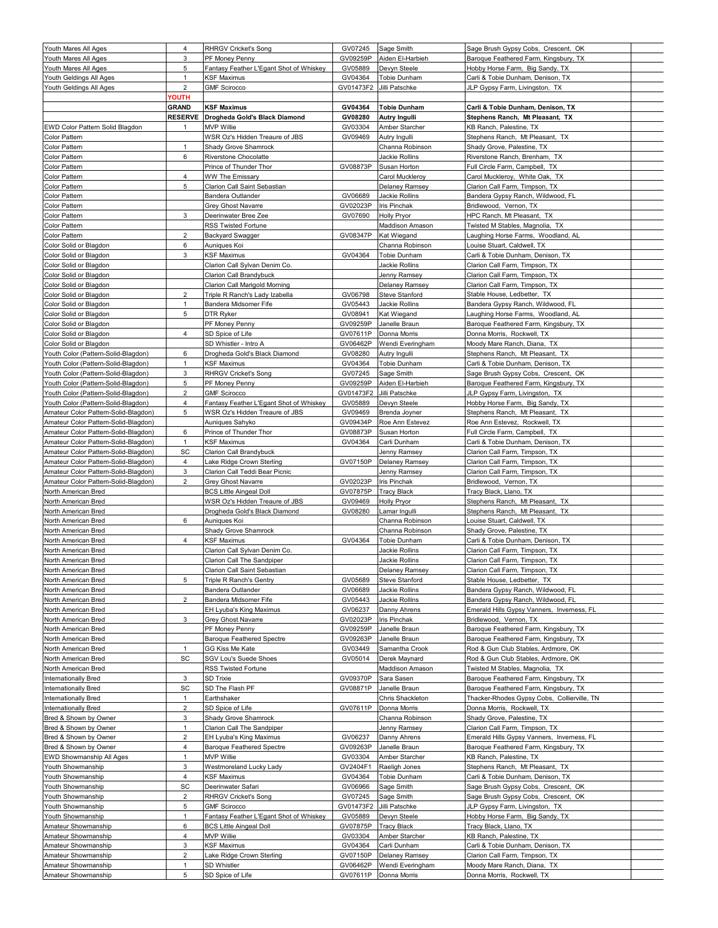| Youth Mares All Ages                 | 4              | <b>RHRGV Cricket's Song</b>             | GV07245   | Sage Smith          | Sage Brush Gypsy Cobs, Crescent, OK         |  |
|--------------------------------------|----------------|-----------------------------------------|-----------|---------------------|---------------------------------------------|--|
| Youth Mares All Ages                 | 3              | PF Money Penny                          | GV09259P  | Aiden El-Harbieh    | Baroque Feathered Farm, Kingsbury, TX       |  |
|                                      |                |                                         |           |                     |                                             |  |
| Youth Mares All Ages                 | 5              | Fantasy Feather L'Egant Shot of Whiskey | GV05889   | Devyn Steele        | Hobby Horse Farm, Big Sandy, TX             |  |
| Youth Geldings All Ages              | 1              | <b>KSF Maximus</b>                      | GV04364   | <b>Tobie Dunham</b> | Carli & Tobie Dunham, Denison, TX           |  |
| Youth Geldings All Ages              | $\overline{2}$ | <b>GMF Scirocco</b>                     | GV01473F2 | Jilli Patschke      | JLP Gypsy Farm, Livingston, TX              |  |
|                                      | YOUTH          |                                         |           |                     |                                             |  |
|                                      | <b>GRAND</b>   | <b>KSF Maximus</b>                      | GV04364   | <b>Tobie Dunham</b> | Carli & Tobie Dunham, Denison, TX           |  |
|                                      |                |                                         |           |                     |                                             |  |
|                                      | <b>RESERVE</b> | Drogheda Gold's Black Diamond           | GV08280   | Autry Ingulli       | Stephens Ranch, Mt Pleasant, TX             |  |
| EWD Color Pattern Solid Blagdon      | 1              | <b>MVP Willie</b>                       | GV03304   | Amber Starcher      | KB Ranch, Palestine, TX                     |  |
| Color Pattern                        |                | WSR Oz's Hidden Treaure of JBS          | GV09469   | Autry Ingulli       | Stephens Ranch, Mt Pleasant, TX             |  |
| Color Pattern                        | $\mathbf{1}$   | Shady Grove Shamrock                    |           | Channa Robinson     | Shady Grove, Palestine, TX                  |  |
|                                      |                |                                         |           |                     |                                             |  |
| Color Pattern                        | 6              | Riverstone Chocolatte                   |           | Jackie Rollins      | Riverstone Ranch, Brenham, TX               |  |
| Color Pattern                        |                | Prince of Thunder Thor                  | GV08873P  | Susan Horton        | Full Circle Farm, Campbell, TX              |  |
| <b>Color Pattern</b>                 | 4              | <b>WW The Emissary</b>                  |           | Carol Muckleroy     | Carol Muckleroy, White Oak, TX              |  |
| Color Pattern                        | 5              | Clarion Call Saint Sebastian            |           | Delaney Ramsey      | Clarion Call Farm, Timpson, TX              |  |
|                                      |                |                                         |           |                     |                                             |  |
| Color Pattern                        |                | Bandera Outlander                       | GV06689   | Jackie Rollins      | Bandera Gypsy Ranch, Wildwood, FL           |  |
| Color Pattern                        |                | Grey Ghost Navarre                      | GV02023P  | Iris Pinchak        | Bridlewood, Vernon, TX                      |  |
| Color Pattern                        | 3              | Deerinwater Bree Zee                    | GV07690   | Holly Pryor         | HPC Ranch, Mt Pleasant, TX                  |  |
| <b>Color Pattern</b>                 |                | <b>RSS Twisted Fortune</b>              |           | Maddison Amason     | Twisted M Stables, Magnolia, TX             |  |
| Color Pattern                        | $\overline{2}$ |                                         | GV08347P  |                     | Laughing Horse Farms, Woodland, AL          |  |
|                                      |                | Backyard Swagger                        |           | Kat Wiegand         |                                             |  |
| Color Solid or Blagdon               | 6              | Auniques Koi                            |           | Channa Robinson     | Louise Stuart, Caldwell, TX                 |  |
| Color Solid or Blagdon               | 3              | KSF Maximus                             | GV04364   | Tobie Dunham        | Carli & Tobie Dunham, Denison, TX           |  |
| Color Solid or Blagdon               |                | Clarion Call Sylvan Denim Co.           |           | Jackie Rollins      | Clarion Call Farm, Timpson, TX              |  |
|                                      |                |                                         |           |                     |                                             |  |
| Color Solid or Blagdon               |                | <b>Clarion Call Brandybuck</b>          |           | Jenny Ramsey        | Clarion Call Farm, Timpson, TX              |  |
| Color Solid or Blagdon               |                | Clarion Call Marigold Morning           |           | Delaney Ramsey      | Clarion Call Farm, Timpson, TX              |  |
| Color Solid or Blagdon               | $\overline{c}$ | Triple R Ranch's Lady Izabella          | GV06798   | Steve Stanford      | Stable House, Ledbetter, TX                 |  |
| Color Solid or Blagdon               | $\mathbf{1}$   | Bandera Midsomer Fife                   | GV05443   | Jackie Rollins      | Bandera Gypsy Ranch, Wildwood, FL           |  |
| Color Solid or Blagdon               | 5              | <b>DTR Ryker</b>                        | GV08941   | Kat Wiegand         | Laughing Horse Farms, Woodland, AL          |  |
|                                      |                |                                         |           |                     |                                             |  |
| Color Solid or Blagdon               |                | PF Money Penny                          | GV09259P  | Janelle Braun       | Baroque Feathered Farm, Kingsbury, TX       |  |
| Color Solid or Blagdon               | 4              | SD Spice of Life                        | GV07611P  | Donna Morris        | Donna Morris, Rockwell, TX                  |  |
| Color Solid or Blagdon               |                | SD Whistler - Intro A                   | GV06462P  | Wendi Everingham    | Moody Mare Ranch, Diana, TX                 |  |
| Youth Color (Pattern-Solid-Blagdon)  | 6              | Drogheda Gold's Black Diamond           | GV08280   | Autry Ingulli       | Stephens Ranch, Mt Pleasant, TX             |  |
|                                      |                |                                         |           |                     |                                             |  |
| Youth Color (Pattern-Solid-Blagdon)  | $\mathbf{1}$   | KSF Maximus                             | GV04364   | Tobie Dunham        | Carli & Tobie Dunham, Denison, TX           |  |
| Youth Color (Pattern-Solid-Blagdon)  | 3              | <b>RHRGV Cricket's Song</b>             | GV07245   | Sage Smith          | Sage Brush Gypsy Cobs, Crescent, OK         |  |
| Youth Color (Pattern-Solid-Blagdon)  | 5              | PF Money Penny                          | GV09259P  | Aiden El-Harbieh    | Baroque Feathered Farm, Kingsbury, TX       |  |
|                                      | $\overline{c}$ | <b>GMF Scirocco</b>                     | GV01473F2 | Jilli Patschke      |                                             |  |
| Youth Color (Pattern-Solid-Blagdon)  |                |                                         |           |                     | JLP Gypsy Farm, Livingston, TX              |  |
| Youth Color (Pattern-Solid-Blagdon)  | 4              | Fantasy Feather L'Egant Shot of Whiskey | GV05889   | Devyn Steele        | Hobby Horse Farm, Big Sandy, TX             |  |
| Amateur Color Pattern-Solid-Blagdon) | 5              | WSR Oz's Hidden Treaure of JBS          | GV09469   | Brenda Joyner       | Stephens Ranch, Mt Pleasant, TX             |  |
| Amateur Color Pattern-Solid-Blagdon) |                | Auniques Sahyko                         | GV09434P  | Roe Ann Estevez     | Roe Ann Estevez, Rockwell, TX               |  |
|                                      |                |                                         |           |                     |                                             |  |
| Amateur Color Pattern-Solid-Blagdon) | 6              | Prince of Thunder Thor                  | GV08873P  | Susan Horton        | Full Circle Farm, Campbell, TX              |  |
| Amateur Color Pattern-Solid-Blagdon) | $\mathbf{1}$   | KSF Maximus                             | GV04364   | Carli Dunham        | Carli & Tobie Dunham, Denison, TX           |  |
| Amateur Color Pattern-Solid-Blagdon) | SC             | Clarion Call Brandybuck                 |           | Jenny Ramsey        | Clarion Call Farm, Timpson, TX              |  |
| Amateur Color Pattern-Solid-Blagdon) | $\overline{4}$ | Lake Ridge Crown Sterling               | GV07150P  | Delaney Ramsey      | Clarion Call Farm, Timpson, TX              |  |
|                                      |                |                                         |           |                     |                                             |  |
| Amateur Color Pattern-Solid-Blagdon) | 3              | Clarion Call Teddi Bear Picnic          |           | Jenny Ramsey        | Clarion Call Farm, Timpson, TX              |  |
| Amateur Color Pattern-Solid-Blagdon) | $\overline{2}$ | Grey Ghost Navarre                      | GV02023P  | Iris Pinchak        | Bridlewood, Vernon, TX                      |  |
| North American Bred                  |                | <b>BCS Little Aingeal Doll</b>          | GV07875P  | Tracy Black         | Tracy Black, Llano, TX                      |  |
| North American Bred                  |                | WSR Oz's Hidden Treaure of JBS          | GV09469   | Holly Pryor         | Stephens Ranch, Mt Pleasant, TX             |  |
|                                      |                |                                         |           |                     |                                             |  |
| North American Bred                  |                | Drogheda Gold's Black Diamond           | GV08280   | Lamar Ingulli       | Stephens Ranch, Mt Pleasant, TX             |  |
| North American Bred                  | 6              | Auniques Koi                            |           | Channa Robinson     | Louise Stuart, Caldwell, TX                 |  |
| North American Bred                  |                | Shady Grove Shamrock                    |           | Channa Robinson     | Shady Grove, Palestine, TX                  |  |
| North American Bred                  | 4              | KSF Maximus                             | GV04364   | Tobie Dunham        | Carli & Tobie Dunham, Denison, TX           |  |
|                                      |                |                                         |           |                     |                                             |  |
| North American Bred                  |                | Clarion Call Sylvan Denim Co.           |           | Jackie Rollins      | Clarion Call Farm, Timpson, TX              |  |
| North American Bred                  |                | Clarion Call The Sandpiper              |           | Jackie Rollins      | Clarion Call Farm, Timpson, TX              |  |
| North American Bred                  |                | Clarion Call Saint Sebastian            |           | Delaney Ramsey      | Clarion Call Farm, Timpson, TX              |  |
| North American Bred                  | 5              | Triple R Ranch's Gentry                 | GV05689   | Steve Stanford      | Stable House, Ledbetter, TX                 |  |
| North American Bred                  |                | Bandera Outlander                       | GV06689   | Jackie Rollins      | Bandera Gypsy Ranch, Wildwood, FL           |  |
|                                      |                |                                         |           |                     |                                             |  |
| North American Bred                  | $\sqrt{2}$     | Bandera Midsomer Fife                   | GV05443   | Jackie Rollins      | Bandera Gypsy Ranch, Wildwood, FL           |  |
| North American Bred                  |                | EH Lyuba's King Maximus                 | GV06237   | Danny Ahrens        | Emerald Hills Gypsy Vanners, Inverness, FL  |  |
| North American Bred                  | 3              | Grey Ghost Navarre                      | GV02023P  | Iris Pinchak        | Bridlewood, Vernon, TX                      |  |
| North American Bred                  |                | PF Money Penny                          | GV09259P  | Janelle Braun       | Baroque Feathered Farm, Kingsbury, TX       |  |
|                                      |                |                                         |           |                     |                                             |  |
| North American Bred                  |                | <b>Baroque Feathered Spectre</b>        | GV09263P  | Janelle Braun       | Baroque Feathered Farm, Kingsbury, TX       |  |
| North American Bred                  | $\mathbf{1}$   | GG Kiss Me Kate                         | GV03449   | Samantha Crook      | Rod & Gun Club Stables, Ardmore, OK         |  |
| North American Bred                  | SC             | SGV Lou's Suede Shoes                   | GV05014   | Derek Maynard       | Rod & Gun Club Stables, Ardmore, OK         |  |
| North American Bred                  |                | RSS Twisted Fortune                     |           | Maddison Amason     | Twisted M Stables, Magnolia, TX             |  |
|                                      |                |                                         |           |                     |                                             |  |
| Internationally Bred                 | 3              | SD Trixie                               | GV09370P  | Sara Sasen          | Baroque Feathered Farm, Kingsbury, TX       |  |
| Internationally Bred                 | SC             | SD The Flash PF                         | GV08871P  | Janelle Braun       | Baroque Feathered Farm, Kingsbury, TX       |  |
| Internationally Bred                 | $\mathbf{1}$   | Earthshaker                             |           | Chris Shackleton    | Thacker-Rhodes Gypsy Cobs, Collierville, TN |  |
| Internationally Bred                 | $\overline{2}$ | SD Spice of Life                        | GV07611P  | Donna Morris        | Donna Morris, Rockwell, TX                  |  |
|                                      | 3              |                                         |           |                     |                                             |  |
| Bred & Shown by Owner                |                | Shady Grove Shamrock                    |           | Channa Robinson     | Shady Grove, Palestine, TX                  |  |
| Bred & Shown by Owner                | $\mathbf{1}$   | Clarion Call The Sandpiper              |           | Jenny Ramsey        | Clarion Call Farm, Timpson, TX              |  |
| Bred & Shown by Owner                | 2              | EH Lyuba's King Maximus                 | GV06237   | Danny Ahrens        | Emerald Hills Gypsy Vanners, Inverness, FL  |  |
| Bred & Shown by Owner                | 4              | <b>Baroque Feathered Spectre</b>        | GV09263P  | Janelle Braun       | Baroque Feathered Farm, Kingsbury, TX       |  |
| EWD Showmanship All Ages             | $\mathbf{1}$   | MVP Willie                              | GV03304   | Amber Starcher      | KB Ranch, Palestine, TX                     |  |
|                                      |                |                                         |           |                     |                                             |  |
| Youth Showmanship                    | 3              | Westmoreland Lucky Lady                 | GV2404F1  | Raeligh Jones       | Stephens Ranch, Mt Pleasant, TX             |  |
| Youth Showmanship                    | 4              | KSF Maximus                             | GV04364   | Tobie Dunham        | Carli & Tobie Dunham, Denison, TX           |  |
| Youth Showmanship                    | SC             | Deerinwater Safari                      | GV06966   | Sage Smith          | Sage Brush Gypsy Cobs, Crescent, OK         |  |
|                                      | $\overline{c}$ |                                         |           |                     | Sage Brush Gypsy Cobs, Crescent, OK         |  |
| Youth Showmanship                    |                | <b>RHRGV Cricket's Song</b>             | GV07245   | Sage Smith          |                                             |  |
| Youth Showmanship                    | 5              | <b>GMF Scirocco</b>                     | GV01473F2 | Jilli Patschke      | JLP Gypsy Farm, Livingston, TX              |  |
| Youth Showmanship                    | $\mathbf{1}$   | Fantasy Feather L'Egant Shot of Whiskey | GV05889   | Devyn Steele        | Hobby Horse Farm, Big Sandy, TX             |  |
| Amateur Showmanship                  | 6              | <b>BCS Little Aingeal Doll</b>          | GV07875P  | Tracy Black         | Tracy Black, Llano, TX                      |  |
|                                      |                |                                         |           |                     |                                             |  |
| Amateur Showmanship                  | 4              | MVP Willie                              | GV03304   | Amber Starcher      | KB Ranch, Palestine, TX                     |  |
| Amateur Showmanship                  | 3              | <b>KSF Maximus</b>                      | GV04364   | Carli Dunham        | Carli & Tobie Dunham, Denison, TX           |  |
| Amateur Showmanship                  | $\overline{2}$ | Lake Ridge Crown Sterling               | GV07150P  | Delaney Ramsey      | Clarion Call Farm, Timpson, TX              |  |
| Amateur Showmanship                  | $\mathbf{1}$   | SD Whistler                             | GV06462P  | Wendi Everingham    | Moody Mare Ranch, Diana, TX                 |  |
|                                      |                |                                         |           |                     |                                             |  |
| Amateur Showmanship                  | 5              | SD Spice of Life                        | GV07611P  | Donna Morris        | Donna Morris, Rockwell, TX                  |  |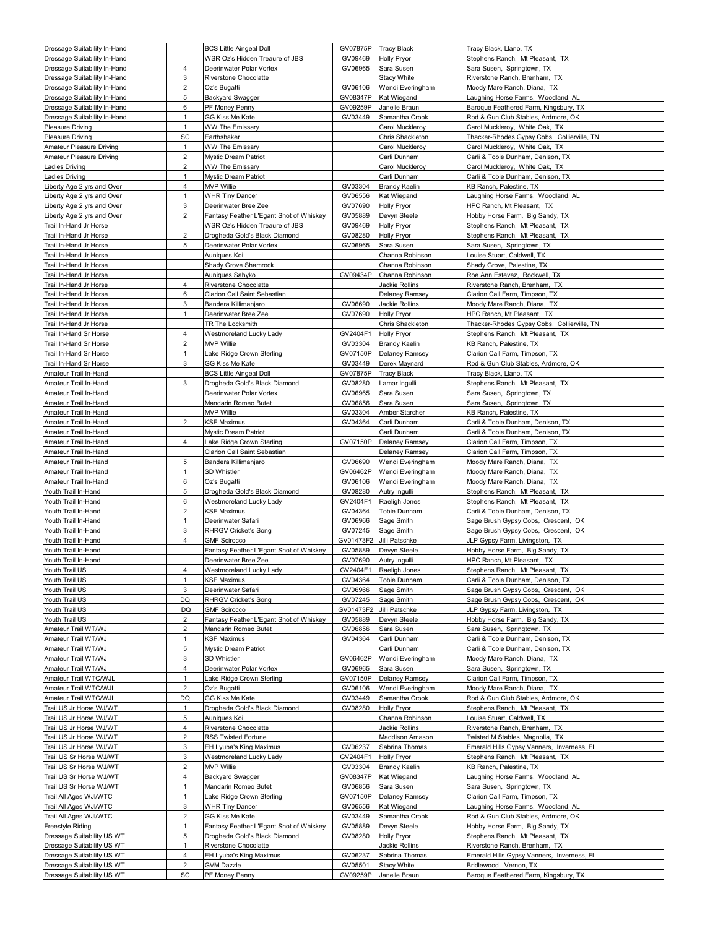| Dressage Suitability In-Hand |                | <b>BCS Little Aingeal Doll</b>          | GV07875P  | <b>Tracy Black</b>    | Tracy Black, Llano, TX                      |  |
|------------------------------|----------------|-----------------------------------------|-----------|-----------------------|---------------------------------------------|--|
| Dressage Suitability In-Hand |                | WSR Oz's Hidden Treaure of JBS          | GV09469   | <b>Holly Pryor</b>    | Stephens Ranch, Mt Pleasant, TX             |  |
| Dressage Suitability In-Hand | $\overline{4}$ | Deerinwater Polar Vortex                | GV06965   | Sara Susen            | Sara Susen, Springtown, TX                  |  |
| Dressage Suitability In-Hand | 3              | <b>Riverstone Chocolatte</b>            |           | Stacy White           | Riverstone Ranch, Brenham, TX               |  |
| Dressage Suitability In-Hand | $\overline{c}$ | Oz's Bugatti                            | GV06106   | Wendi Everingham      | Moody Mare Ranch, Diana, TX                 |  |
| Dressage Suitability In-Hand | 5              | Backyard Swagger                        | GV08347P  | Kat Wiegand           | Laughing Horse Farms, Woodland, AL          |  |
| Dressage Suitability In-Hand | 6              | PF Money Penny                          | GV09259P  | Janelle Braun         | Baroque Feathered Farm, Kingsbury, TX       |  |
| Dressage Suitability In-Hand | $\overline{1}$ | GG Kiss Me Kate                         | GV03449   | Samantha Crook        | Rod & Gun Club Stables, Ardmore, OK         |  |
| Pleasure Driving             | 1              | <b>WW The Emissary</b>                  |           | Carol Muckleroy       | Carol Muckleroy, White Oak, TX              |  |
| <b>Pleasure Driving</b>      | SC             | Earthshaker                             |           | Chris Shackleton      | Thacker-Rhodes Gypsy Cobs, Collierville, TN |  |
| Amateur Pleasure Driving     | $\mathbf{1}$   | <b>WW The Emissary</b>                  |           | Carol Muckleroy       | Carol Muckleroy, White Oak, TX              |  |
| Amateur Pleasure Driving     | $\overline{2}$ | Mystic Dream Patriot                    |           | Carli Dunham          | Carli & Tobie Dunham, Denison, TX           |  |
| Ladies Driving               | $\overline{2}$ | WW The Emissary                         |           | Carol Muckleroy       | Carol Muckleroy, White Oak, TX              |  |
| Ladies Driving               | 1              | Mystic Dream Patriot                    |           | Carli Dunham          | Carli & Tobie Dunham, Denison, TX           |  |
| Liberty Age 2 yrs and Over   | 4              | MVP Willie                              | GV03304   | <b>Brandy Kaelin</b>  | KB Ranch, Palestine, TX                     |  |
| Liberty Age 2 yrs and Over   | $\mathbf{1}$   | <b>WHR Tiny Dancer</b>                  | GV06556   | Kat Wiegand           | Laughing Horse Farms, Woodland, AL          |  |
| Liberty Age 2 yrs and Over   | 3              | Deerinwater Bree Zee                    | GV07690   | <b>Holly Pryor</b>    | HPC Ranch, Mt Pleasant, TX                  |  |
| Liberty Age 2 yrs and Over   | $\overline{2}$ | Fantasy Feather L'Egant Shot of Whiskey | GV05889   | Devyn Steele          | Hobby Horse Farm, Big Sandy, TX             |  |
| Trail In-Hand Jr Horse       |                | WSR Oz's Hidden Treaure of JBS          | GV09469   | <b>Holly Pryor</b>    | Stephens Ranch, Mt Pleasant, TX             |  |
| Trail In-Hand Jr Horse       | $\overline{2}$ | Drogheda Gold's Black Diamond           | GV08280   | Holly Pryor           | Stephens Ranch, Mt Pleasant, TX             |  |
| Trail In-Hand Jr Horse       | 5              | Deerinwater Polar Vortex                | GV06965   | Sara Susen            | Sara Susen, Springtown, TX                  |  |
| Trail In-Hand Jr Horse       |                | Auniques Koi                            |           | Channa Robinson       | Louise Stuart, Caldwell, TX                 |  |
| Trail In-Hand Jr Horse       |                | Shady Grove Shamrock                    |           | Channa Robinson       | Shady Grove, Palestine, TX                  |  |
| Trail In-Hand Jr Horse       |                | Auniques Sahyko                         | GV09434P  | Channa Robinson       | Roe Ann Estevez, Rockwell, TX               |  |
| Trail In-Hand Jr Horse       | 4              | Riverstone Chocolatte                   |           | Jackie Rollins        | Riverstone Ranch, Brenham, TX               |  |
| Trail In-Hand Jr Horse       | 6              | Clarion Call Saint Sebastian            |           | Delaney Ramsey        | Clarion Call Farm, Timpson, TX              |  |
| Trail In-Hand Jr Horse       | 3              | Bandera Killimanjaro                    | GV06690   | Jackie Rollins        | Moody Mare Ranch, Diana, TX                 |  |
| Trail In-Hand Jr Horse       | $\overline{1}$ | Deerinwater Bree Zee                    | GV07690   | <b>Holly Pryor</b>    | HPC Ranch, Mt Pleasant, TX                  |  |
| Trail In-Hand Jr Horse       |                | TR The Locksmith                        |           | Chris Shackleton      | Thacker-Rhodes Gypsy Cobs, Collierville, TN |  |
| Trail In-Hand Sr Horse       | $\overline{4}$ | Westmoreland Lucky Lady                 | GV2404F1  | <b>Holly Pryor</b>    | Stephens Ranch, Mt Pleasant, TX             |  |
| Trail In-Hand Sr Horse       | $\overline{2}$ | <b>MVP Willie</b>                       | GV03304   | <b>Brandy Kaelin</b>  | KB Ranch, Palestine, TX                     |  |
| Trail In-Hand Sr Horse       | $\mathbf{1}$   | Lake Ridge Crown Sterling               | GV07150P  | <b>Delaney Ramsey</b> | Clarion Call Farm, Timpson, TX              |  |
| Trail In-Hand Sr Horse       | 3              | GG Kiss Me Kate                         | GV03449   | Derek Maynard         | Rod & Gun Club Stables, Ardmore, OK         |  |
| Amateur Trail In-Hand        |                | <b>BCS Little Aingeal Doll</b>          | GV07875P  | Tracy Black           | Tracy Black, Llano, TX                      |  |
| Amateur Trail In-Hand        | 3              | Drogheda Gold's Black Diamond           | GV08280   | Lamar Ingulli         | Stephens Ranch, Mt Pleasant, TX             |  |
| Amateur Trail In-Hand        |                | Deerinwater Polar Vortex                | GV06965   | Sara Susen            | Sara Susen, Springtown, TX                  |  |
| Amateur Trail In-Hand        |                | Mandarin Romeo Butet                    | GV06856   | Sara Susen            | Sara Susen, Springtown, TX                  |  |
| Amateur Trail In-Hand        |                | MVP Willie                              | GV03304   | Amber Starcher        | KB Ranch, Palestine, TX                     |  |
| Amateur Trail In-Hand        | $\overline{2}$ | KSF Maximus                             | GV04364   | Carli Dunham          | Carli & Tobie Dunham, Denison, TX           |  |
| Amateur Trail In-Hand        |                | Mystic Dream Patriot                    |           | Carli Dunham          | Carli & Tobie Dunham, Denison, TX           |  |
| Amateur Trail In-Hand        | 4              | Lake Ridge Crown Sterling               | GV07150P  | Delaney Ramsey        | Clarion Call Farm, Timpson, TX              |  |
| Amateur Trail In-Hand        |                | Clarion Call Saint Sebastian            |           | Delaney Ramsey        | Clarion Call Farm, Timpson, TX              |  |
| Amateur Trail In-Hand        | 5              | Bandera Killimanjaro                    | GV06690   | Wendi Everingham      | Moody Mare Ranch, Diana, TX                 |  |
| Amateur Trail In-Hand        | $\mathbf{1}$   | SD Whistler                             | GV06462P  | Wendi Everingham      | Moody Mare Ranch, Diana, TX                 |  |
| Amateur Trail In-Hand        | 6              | Oz's Bugatti                            | GV06106   | Wendi Everingham      | Moody Mare Ranch, Diana, TX                 |  |
| Youth Trail In-Hand          | 5              | Drogheda Gold's Black Diamond           | GV08280   | Autry Ingulli         | Stephens Ranch, Mt Pleasant, TX             |  |
| Youth Trail In-Hand          | 6              | Westmoreland Lucky Lady                 | GV2404F1  | Raeligh Jones         | Stephens Ranch, Mt Pleasant, TX             |  |
| Youth Trail In-Hand          | $\overline{2}$ | KSF Maximus                             | GV04364   | Tobie Dunham          | Carli & Tobie Dunham, Denison, TX           |  |
| Youth Trail In-Hand          | $\mathbf{1}$   | Deerinwater Safari                      | GV06966   | Sage Smith            | Sage Brush Gypsy Cobs, Crescent, OK         |  |
| Youth Trail In-Hand          | 3              | RHRGV Cricket's Song                    | GV07245   | Sage Smith            | Sage Brush Gypsy Cobs, Crescent, OK         |  |
| Youth Trail In-Hand          | 4              | <b>GMF Scirocco</b>                     | GV01473F2 | Jilli Patschke        | JLP Gypsy Farm, Livingston, TX              |  |
| Youth Trail In-Hand          |                | Fantasy Feather L'Egant Shot of Whiskey | GV05889   | Devyn Steele          | Hobby Horse Farm, Big Sandy, TX             |  |
| Youth Trail In-Hand          |                | Deerinwater Bree Zee                    | GV07690   | Autry Ingulli         | HPC Ranch, Mt Pleasant, TX                  |  |
| Youth Trail US               | 4              | Westmoreland Lucky Lady                 | GV2404F1  | Raeligh Jones         | Stephens Ranch, Mt Pleasant, TX             |  |
| Youth Trail US               | 1              | KSF Maximus                             | GV04364   | Tobie Dunham          | Carli & Tobie Dunham, Denison, TX           |  |
| Youth Trail US               | 3              | Deerinwater Safari                      | GV06966   | Sage Smith            | Sage Brush Gypsy Cobs, Crescent, OK         |  |
| Youth Trail US               | DQ             | <b>RHRGV Cricket's Song</b>             | GV07245   | Sage Smith            | Sage Brush Gypsy Cobs, Crescent, OK         |  |
| Youth Trail US               | DQ             | <b>GMF Scirocco</b>                     | GV01473F2 | Jilli Patschke        | JLP Gypsy Farm, Livingston, TX              |  |
| Youth Trail US               | 2              | Fantasy Feather L'Egant Shot of Whiskey | GV05889   | Devyn Steele          | Hobby Horse Farm, Big Sandy, TX             |  |
| Amateur Trail WT/WJ          | $\overline{c}$ | Mandarin Romeo Butet                    | GV06856   | Sara Susen            | Sara Susen, Springtown, TX                  |  |
| Amateur Trail WT/WJ          | $\mathbf{1}$   | KSF Maximus                             | GV04364   | Carli Dunham          | Carli & Tobie Dunham, Denison, TX           |  |
| Amateur Trail WT/WJ          | 5              | Mystic Dream Patriot                    |           | Carli Dunham          | Carli & Tobie Dunham, Denison, TX           |  |
| Amateur Trail WT/WJ          | 3              | SD Whistler                             | GV06462P  | Wendi Everingham      | Moody Mare Ranch, Diana, TX                 |  |
| Amateur Trail WT/WJ          | 4              | Deerinwater Polar Vortex                | GV06965   | Sara Susen            | Sara Susen, Springtown, TX                  |  |
| Amateur Trail WTC/WJL        | $\mathbf{1}$   | Lake Ridge Crown Sterling               | GV07150P  | <b>Delaney Ramsey</b> | Clarion Call Farm, Timpson, TX              |  |
| Amateur Trail WTC/WJL        | $\overline{2}$ | Oz's Bugatti                            | GV06106   | Wendi Everingham      | Moody Mare Ranch, Diana, TX                 |  |
| Amateur Trail WTC/WJL        | DQ             | GG Kiss Me Kate                         | GV03449   | Samantha Crook        | Rod & Gun Club Stables, Ardmore, OK         |  |
| Trail US Jr Horse WJ/WT      | $\mathbf{1}$   | Drogheda Gold's Black Diamond           | GV08280   | <b>Holly Pryor</b>    | Stephens Ranch, Mt Pleasant, TX             |  |
| Trail US Jr Horse WJ/WT      | 5              | Auniques Koi                            |           | Channa Robinson       | Louise Stuart, Caldwell, TX                 |  |
| Trail US Jr Horse WJ/WT      | $\overline{4}$ | Riverstone Chocolatte                   |           | Jackie Rollins        | Riverstone Ranch, Brenham, TX               |  |
| Trail US Jr Horse WJ/WT      | $\overline{c}$ | RSS Twisted Fortune                     |           | Maddison Amason       | Twisted M Stables, Magnolia, TX             |  |
| Trail US Jr Horse WJ/WT      | 3              | EH Lyuba's King Maximus                 | GV06237   | Sabrina Thomas        | Emerald Hills Gypsy Vanners, Inverness, FL  |  |
| Trail US Sr Horse WJ/WT      | 3              | Westmoreland Lucky Lady                 | GV2404F1  | Holly Pryor           | Stephens Ranch, Mt Pleasant, TX             |  |
| Trail US Sr Horse WJ/WT      | $\overline{2}$ | MVP Willie                              | GV03304   | <b>Brandy Kaelin</b>  | KB Ranch, Palestine, TX                     |  |
| Trail US Sr Horse WJ/WT      | $\overline{4}$ | Backyard Swagger                        | GV08347P  | Kat Wiegand           | Laughing Horse Farms, Woodland, AL          |  |
| Trail US Sr Horse WJ/WT      | $\mathbf{1}$   | Mandarin Romeo Butet                    | GV06856   | Sara Susen            | Sara Susen, Springtown, TX                  |  |
| Trail All Ages WJI/WTC       | $\mathbf{1}$   | Lake Ridge Crown Sterling               | GV07150P  | <b>Delaney Ramsey</b> | Clarion Call Farm, Timpson, TX              |  |
| Trail All Ages WJI/WTC       | 3              | <b>WHR Tiny Dancer</b>                  | GV06556   | Kat Wiegand           | Laughing Horse Farms, Woodland, AL          |  |
| Trail All Ages WJI/WTC       | $\overline{2}$ | GG Kiss Me Kate                         | GV03449   | Samantha Crook        | Rod & Gun Club Stables, Ardmore, OK         |  |
| Freestyle Riding             | $\mathbf{1}$   | Fantasy Feather L'Egant Shot of Whiskey | GV05889   | Devyn Steele          | Hobby Horse Farm, Big Sandy, TX             |  |
| Dressage Suitability US WT   | 5              | Drogheda Gold's Black Diamond           | GV08280   | Holly Pryor           | Stephens Ranch, Mt Pleasant, TX             |  |
| Dressage Suitability US WT   | $\mathbf{1}$   | Riverstone Chocolatte                   |           | Jackie Rollins        | Riverstone Ranch, Brenham, TX               |  |
| Dressage Suitability US WT   | 4              | EH Lyuba's King Maximus                 | GV06237   | Sabrina Thomas        | Emerald Hills Gypsy Vanners, Inverness, FL  |  |
| Dressage Suitability US WT   | $\overline{2}$ | GVM Dazzle                              | GV05501   | Stacy White           | Bridlewood, Vernon, TX                      |  |
| Dressage Suitability US WT   | SC             | PF Money Penny                          | GV09259P  | Janelle Braun         | Baroque Feathered Farm, Kingsbury, TX       |  |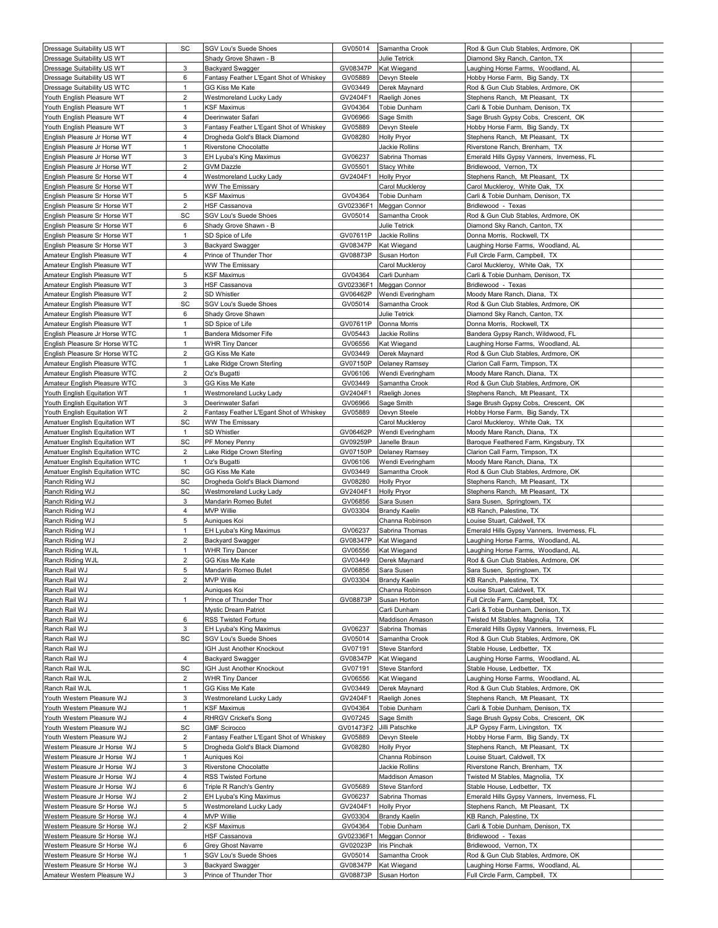| Dressage Suitability US WT                                   | SC                  | SGV Lou's Suede Shoes                          | GV05014              | Samantha Crook                    | Rod & Gun Club Stables, Ardmore, OK                                       |  |
|--------------------------------------------------------------|---------------------|------------------------------------------------|----------------------|-----------------------------------|---------------------------------------------------------------------------|--|
| Dressage Suitability US WT                                   |                     | Shady Grove Shawn - B                          |                      | Julie Tetrick                     | Diamond Sky Ranch, Canton, TX                                             |  |
| Dressage Suitability US WT                                   | 3                   | Backyard Swagger                               | GV08347P             | Kat Wiegand                       | Laughing Horse Farms, Woodland, AL                                        |  |
| Dressage Suitability US WT                                   | 6                   | Fantasy Feather L'Egant Shot of Whiskey        | GV05889              | Devyn Steele                      | Hobby Horse Farm, Big Sandy, TX                                           |  |
| Dressage Suitability US WTC                                  | $\mathbf{1}$        | GG Kiss Me Kate                                | GV03449              | Derek Maynard                     | Rod & Gun Club Stables, Ardmore, OK                                       |  |
| Youth English Pleasure WT                                    | $\overline{2}$      | Westmoreland Lucky Lady                        | GV2404F1             | Raeligh Jones                     | Stephens Ranch, Mt Pleasant, TX                                           |  |
| Youth English Pleasure WT                                    | $\mathbf{1}$        | KSF Maximus                                    | GV04364              | Tobie Dunham                      | Carli & Tobie Dunham, Denison, TX                                         |  |
| Youth English Pleasure WT                                    | $\overline{4}$      | Deerinwater Safari                             | GV06966              | Sage Smith                        | Sage Brush Gypsy Cobs, Crescent, OK                                       |  |
| Youth English Pleasure WT                                    | 3                   | Fantasy Feather L'Egant Shot of Whiskey        | GV05889              | Devyn Steele                      | Hobby Horse Farm, Big Sandy, TX                                           |  |
| English Pleasure Jr Horse WT                                 | 4                   | Drogheda Gold's Black Diamond                  | GV08280              | <b>Holly Pryor</b>                | Stephens Ranch, Mt Pleasant, TX                                           |  |
| English Pleasure Jr Horse WT                                 | $\mathbf{1}$        | Riverstone Chocolatte                          |                      | Jackie Rollins                    | Riverstone Ranch, Brenham, TX                                             |  |
| English Pleasure Jr Horse WT                                 | 3<br>$\overline{2}$ | EH Lyuba's King Maximus                        | GV06237              | Sabrina Thomas                    | Emerald Hills Gypsy Vanners, Inverness, FL                                |  |
| English Pleasure Jr Horse WT<br>English Pleasure Sr Horse WT | 4                   | GVM Dazzle<br>Westmoreland Lucky Lady          | GV05501<br>GV2404F1  | <b>Stacy White</b><br>Holly Pryor | Bridlewood, Vernon, TX<br>Stephens Ranch, Mt Pleasant, TX                 |  |
| English Pleasure Sr Horse WT                                 |                     | <b>WW The Emissary</b>                         |                      | Carol Muckleroy                   | Carol Muckleroy, White Oak, TX                                            |  |
| English Pleasure Sr Horse WT                                 | 5                   | KSF Maximus                                    | GV04364              | Tobie Dunham                      | Carli & Tobie Dunham, Denison, TX                                         |  |
| English Pleasure Sr Horse WT                                 | $\overline{2}$      | HSF Cassanova                                  | GV02336F1            | Meggan Connor                     | Bridlewood - Texas                                                        |  |
| English Pleasure Sr Horse WT                                 | SC                  | SGV Lou's Suede Shoes                          | GV05014              | Samantha Crook                    | Rod & Gun Club Stables, Ardmore, OK                                       |  |
| English Pleasure Sr Horse WT                                 | 6                   | Shady Grove Shawn - B                          |                      | Julie Tetrick                     | Diamond Sky Ranch, Canton, TX                                             |  |
| English Pleasure Sr Horse WT                                 | $\mathbf{1}$        | SD Spice of Life                               | GV07611P             | Jackie Rollins                    | Donna Morris, Rockwell, TX                                                |  |
| English Pleasure Sr Horse WT                                 | 3                   | Backyard Swagger                               | GV08347P             | Kat Wiegand                       | Laughing Horse Farms, Woodland, AL                                        |  |
| Amateur English Pleasure WT                                  | $\overline{4}$      | Prince of Thunder Thor                         | GV08873P             | Susan Horton                      | Full Circle Farm, Campbell, TX                                            |  |
| Amateur English Pleasure WT                                  |                     | <b>WW The Emissary</b>                         |                      | Carol Muckleroy                   | Carol Muckleroy, White Oak, TX                                            |  |
| Amateur English Pleasure WT                                  | 5                   | KSF Maximus                                    | GV04364              | Carli Dunham                      | Carli & Tobie Dunham, Denison, TX                                         |  |
| Amateur English Pleasure WT                                  | 3                   | HSF Cassanova                                  | GV02336F1            | Meggan Connor                     | Bridlewood - Texas                                                        |  |
| Amateur English Pleasure WT                                  | $\overline{2}$      | SD Whistler                                    | GV06462P             | Wendi Everingham                  | Moody Mare Ranch, Diana, TX                                               |  |
| Amateur English Pleasure WT                                  | SC                  | <b>SGV Lou's Suede Shoes</b>                   | GV05014              | Samantha Crook                    | Rod & Gun Club Stables, Ardmore, OK                                       |  |
| Amateur English Pleasure WT                                  | 6                   | Shady Grove Shawn                              |                      | Julie Tetrick                     | Diamond Sky Ranch, Canton, TX                                             |  |
| Amateur English Pleasure WT                                  | 1                   | SD Spice of Life                               | GV07611P             | Donna Morris                      | Donna Morris, Rockwell, TX                                                |  |
| English Pleasure Jr Horse WTC                                | $\mathbf{1}$        | Bandera Midsomer Fife                          | GV05443              | Jackie Rollins                    | Bandera Gypsy Ranch, Wildwood, FL                                         |  |
| English Pleasure Sr Horse WTC                                | $\mathbf{1}$        | <b>WHR Tiny Dancer</b>                         | GV06556              | Kat Wiegand                       | Laughing Horse Farms, Woodland, AL                                        |  |
| English Pleasure Sr Horse WTC                                | $\overline{2}$      | GG Kiss Me Kate                                | GV03449              | Derek Maynard                     | Rod & Gun Club Stables, Ardmore, OK                                       |  |
| Amateur English Pleasure WTC                                 | $\mathbf{1}$        | Lake Ridge Crown Sterling                      | GV07150P             | Delaney Ramsey                    | Clarion Call Farm, Timpson, TX                                            |  |
| Amateur English Pleasure WTC                                 | $\overline{2}$      | Oz's Bugatti                                   | GV06106              | Wendi Everingham                  | Moody Mare Ranch, Diana, TX                                               |  |
| Amateur English Pleasure WTC                                 | 3<br>$\mathbf{1}$   | GG Kiss Me Kate                                | GV03449<br>GV2404F1  | Samantha Crook<br>Raeligh Jones   | Rod & Gun Club Stables, Ardmore, OK                                       |  |
| Youth English Equitation WT<br>Youth English Equitation WT   | 3                   | Westmoreland Lucky Lady<br>Deerinwater Safari  | GV06966              | Sage Smith                        | Stephens Ranch, Mt Pleasant, TX<br>Sage Brush Gypsy Cobs, Crescent, OK    |  |
| Youth English Equitation WT                                  | $\overline{2}$      | Fantasy Feather L'Egant Shot of Whiskey        | GV05889              | Devyn Steele                      | Hobby Horse Farm, Big Sandy, TX                                           |  |
| Amatuer English Equitation WT                                | SC                  | <b>WW The Emissary</b>                         |                      | Carol Muckleroy                   | Carol Muckleroy, White Oak, TX                                            |  |
| Amatuer English Equitation WT                                | $\mathbf{1}$        | SD Whistler                                    | GV06462P             | Wendi Everingham                  | Moody Mare Ranch, Diana, TX                                               |  |
| Amatuer English Equitation WT                                | SC                  | PF Money Penny                                 | GV09259P             | Janelle Braun                     | Baroque Feathered Farm, Kingsbury, TX                                     |  |
| Amatuer English Equitation WTC                               | $\overline{c}$      | Lake Ridge Crown Sterling                      | GV07150P             | Delaney Ramsey                    | Clarion Call Farm, Timpson, TX                                            |  |
| Amatuer English Equitation WTC                               | $\mathbf{1}$        | Oz's Bugatti                                   | GV06106              | Wendi Everingham                  | Moody Mare Ranch, Diana, TX                                               |  |
| Amatuer English Equitation WTC                               | SC                  | GG Kiss Me Kate                                | GV03449              | Samantha Crook                    | Rod & Gun Club Stables, Ardmore, OK                                       |  |
| Ranch Riding WJ                                              | SC                  | Drogheda Gold's Black Diamond                  | GV08280              | <b>Holly Pryor</b>                | Stephens Ranch, Mt Pleasant, TX                                           |  |
| Ranch Riding WJ                                              | SC                  | Westmoreland Lucky Lady                        | GV2404F1             | <b>Holly Pryor</b>                | Stephens Ranch, Mt Pleasant, TX                                           |  |
| Ranch Riding WJ                                              | 3                   | Mandarin Romeo Butet                           | GV06856              | Sara Susen                        | Sara Susen, Springtown, TX                                                |  |
| Ranch Riding WJ                                              | $\overline{4}$      | <b>MVP Willie</b>                              | GV03304              | <b>Brandy Kaelin</b>              | KB Ranch, Palestine, TX                                                   |  |
| Ranch Riding WJ                                              | 5                   | Auniques Koi                                   |                      | Channa Robinson                   | Louise Stuart, Caldwell, TX                                               |  |
| Ranch Riding WJ                                              | $\mathbf{1}$        | EH Lyuba's King Maximus                        | GV06237              | Sabrina Thomas                    | Emerald Hills Gypsy Vanners, Inverness, FL                                |  |
| Ranch Riding WJ                                              | $\overline{2}$      | Backyard Swagger                               | GV08347P             | Kat Wiegand                       | Laughing Horse Farms, Woodland, AL                                        |  |
| Ranch Riding WJL                                             | $\mathbf{1}$        | <b>WHR Tiny Dancer</b>                         | GV06556              | Kat Wiegand                       | Laughing Horse Farms, Woodland, AL                                        |  |
| Ranch Riding WJL                                             | $\overline{2}$      | GG Kiss Me Kate                                | GV03449              | Derek Maynard                     | Rod & Gun Club Stables, Ardmore, OK                                       |  |
| Ranch Rail WJ                                                | 5                   | Mandarin Romeo Butet                           | GV06856              | Sara Susen                        | Sara Susen, Springtown, TX                                                |  |
| Ranch Rail WJ                                                | $\overline{2}$      | MVP Willie                                     | GV03304              | <b>Brandy Kaelin</b>              | KB Ranch, Palestine, TX                                                   |  |
| Ranch Rail WJ<br>Ranch Rail WJ                               | $\mathbf{1}$        | Auniques Koi<br>Prince of Thunder Thor         | GV08873P             | Channa Robinson<br>Susan Horton   | Louise Stuart, Caldwell, TX<br>Full Circle Farm, Campbell, TX             |  |
|                                                              |                     |                                                |                      |                                   | Carli & Tobie Dunham, Denison, TX                                         |  |
| Ranch Rail WJ<br>Ranch Rail WJ                               | 6                   | Mystic Dream Patriot<br>RSS Twisted Fortune    |                      | Carli Dunham<br>Maddison Amason   | Twisted M Stables, Magnolia, TX                                           |  |
| Ranch Rail WJ                                                | 3                   | EH Lyuba's King Maximus                        | GV06237              | Sabrina Thomas                    | Emerald Hills Gypsy Vanners, Inverness, FL                                |  |
| Ranch Rail WJ                                                | SC                  | <b>SGV Lou's Suede Shoes</b>                   | GV05014              | Samantha Crook                    | Rod & Gun Club Stables, Ardmore, OK                                       |  |
| Ranch Rail WJ                                                |                     | <b>IGH Just Another Knockout</b>               | GV07191              | Steve Stanford                    | Stable House, Ledbetter, TX                                               |  |
| Ranch Rail WJ                                                | $\overline{4}$      | Backyard Swagger                               | GV08347P             | Kat Wiegand                       | Laughing Horse Farms, Woodland, AL                                        |  |
| Ranch Rail WJL                                               | SC                  | IGH Just Another Knockout                      | GV07191              | Steve Stanford                    | Stable House, Ledbetter, TX                                               |  |
| Ranch Rail WJL                                               | $\overline{2}$      | <b>WHR Tiny Dancer</b>                         | GV06556              | Kat Wiegand                       | Laughing Horse Farms, Woodland, AL                                        |  |
| Ranch Rail WJL                                               | $\mathbf{1}$        | GG Kiss Me Kate                                | GV03449              | Derek Maynard                     | Rod & Gun Club Stables, Ardmore, OK                                       |  |
| Youth Western Pleasure WJ                                    | 3                   | Westmoreland Lucky Lady                        | GV2404F1             | Raeligh Jones                     | Stephens Ranch, Mt Pleasant, TX                                           |  |
| Youth Western Pleasure WJ                                    | $\mathbf{1}$        | KSF Maximus                                    | GV04364              | Tobie Dunham                      | Carli & Tobie Dunham, Denison, TX                                         |  |
| Youth Western Pleasure WJ                                    | 4                   | <b>RHRGV Cricket's Song</b>                    | GV07245              | Sage Smith                        | Sage Brush Gypsy Cobs, Crescent, OK                                       |  |
| Youth Western Pleasure WJ                                    | SC                  | <b>GMF Scirocco</b>                            | GV01473F2            | Jilli Patschke                    | JLP Gypsy Farm, Livingston, TX                                            |  |
| Youth Western Pleasure WJ                                    | $\overline{2}$      | Fantasy Feather L'Egant Shot of Whiskey        | GV05889              | Devyn Steele                      | Hobby Horse Farm, Big Sandy, TX                                           |  |
| Western Pleasure Jr Horse WJ                                 | 5                   | Drogheda Gold's Black Diamond                  | GV08280              | Holly Pryor                       | Stephens Ranch, Mt Pleasant, TX                                           |  |
| Western Pleasure Jr Horse WJ                                 | $\mathbf{1}$        | Auniques Koi                                   |                      | Channa Robinson                   | Louise Stuart, Caldwell, TX                                               |  |
| Western Pleasure Jr Horse WJ                                 | 3<br>4              | Riverstone Chocolatte                          |                      | Jackie Rollins                    | Riverstone Ranch, Brenham, TX                                             |  |
| Western Pleasure Jr Horse WJ                                 |                     | RSS Twisted Fortune<br>Triple R Ranch's Gentry |                      | Maddison Amason                   | Twisted M Stables, Magnolia, TX                                           |  |
| Western Pleasure Jr Horse WJ<br>Western Pleasure Jr Horse WJ | 6<br>$\overline{2}$ | EH Lyuba's King Maximus                        | GV05689<br>GV06237   | Steve Stanford<br>Sabrina Thomas  | Stable House, Ledbetter, TX<br>Emerald Hills Gypsy Vanners, Inverness, FL |  |
| Western Pleasure Sr Horse WJ                                 | 5                   | Westmoreland Lucky Lady                        | GV2404F1             | <b>Holly Pryor</b>                | Stephens Ranch, Mt Pleasant, TX                                           |  |
| Western Pleasure Sr Horse WJ                                 |                     | MVP Willie                                     | GV03304              | <b>Brandy Kaelin</b>              | KB Ranch, Palestine, TX                                                   |  |
|                                                              |                     |                                                |                      |                                   |                                                                           |  |
|                                                              | 4                   |                                                |                      |                                   |                                                                           |  |
| Western Pleasure Sr Horse WJ<br>Western Pleasure Sr Horse WJ | $\overline{c}$      | KSF Maximus<br>HSF Cassanova                   | GV04364<br>GV02336F1 | Tobie Dunham                      | Carli & Tobie Dunham, Denison, TX                                         |  |
| Western Pleasure Sr Horse WJ                                 | 6                   | Grey Ghost Navarre                             | GV02023P             | Meggan Connor<br>Iris Pinchak     | Bridlewood - Texas<br>Bridlewood, Vernon, TX                              |  |
| Western Pleasure Sr Horse WJ                                 | $\mathbf{1}$        | <b>SGV Lou's Suede Shoes</b>                   | GV05014              | Samantha Crook                    | Rod & Gun Club Stables, Ardmore, OK                                       |  |
| Western Pleasure Sr Horse WJ                                 | 3                   | Backyard Swagger                               | GV08347P             | Kat Wiegand                       | Laughing Horse Farms, Woodland, AL                                        |  |